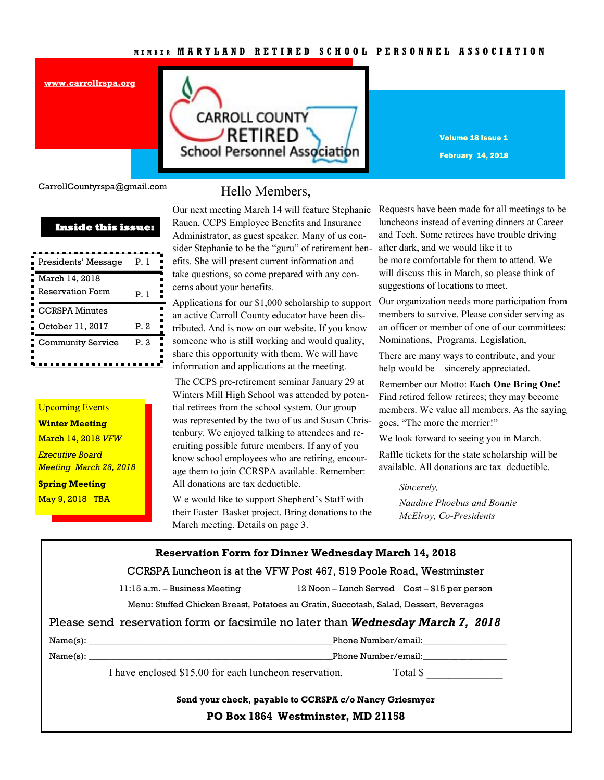### **M E M B E R M A R Y L A N D R E T I R E D S C H O O L P E R S O N N E L A S S O C I A T I O N**



Volume 18 Issue 1 February 14, 2018

CarrollCountyrspa@gmail.com

**[www.carrollrspa.org](http://www.carrollrspa.org/)**

| <b>Inside this issue:</b>        |  |  |  |  |
|----------------------------------|--|--|--|--|
| Presidents' Message<br>P. 1      |  |  |  |  |
| March 14, 2018                   |  |  |  |  |
| <b>Reservation Form</b><br>Рl    |  |  |  |  |
| <b>CCRSPA Minutes</b>            |  |  |  |  |
| P.2<br>October 11, 2017          |  |  |  |  |
| <b>Community Service</b><br>P. 3 |  |  |  |  |

## Upcoming Events **Winter Meeting**  March 14, 2018 *VFW Executive Board Meeting March 28, 2018* **Spring Meeting**  May 9, 2018 TBA

## Hello Members,

Our next meeting March 14 will feature Stephanie Rauen, CCPS Employee Benefits and Insurance Administrator, as guest speaker. Many of us consider Stephanie to be the "guru" of retirement benefits. She will present current information and take questions, so come prepared with any concerns about your benefits.

Applications for our \$1,000 scholarship to support an active Carroll County educator have been distributed. And is now on our website. If you know someone who is still working and would quality, share this opportunity with them. We will have information and applications at the meeting.

The CCPS pre-retirement seminar January 29 at Winters Mill High School was attended by potential retirees from the school system. Our group was represented by the two of us and Susan Christenbury. We enjoyed talking to attendees and recruiting possible future members. If any of you know school employees who are retiring, encourage them to join CCRSPA available. Remember: All donations are tax deductible.

W e would like to support Shepherd's Staff with their Easter Basket project. Bring donations to the March meeting. Details on page 3.

Requests have been made for all meetings to be luncheons instead of evening dinners at Career and Tech. Some retirees have trouble driving after dark, and we would like it to be more comfortable for them to attend. We will discuss this in March, so please think of suggestions of locations to meet.

Our organization needs more participation from members to survive. Please consider serving as an officer or member of one of our committees: Nominations, Programs, Legislation,

There are many ways to contribute, and your help would be sincerely appreciated.

Remember our Motto: **Each One Bring One!** Find retired fellow retirees; they may become members. We value all members. As the saying goes, "The more the merrier!"

We look forward to seeing you in March.

Raffle tickets for the state scholarship will be available. All donations are tax deductible.

### *Sincerely,*

*Naudine Phoebus and Bonnie McElroy, Co-Presidents*

| <b>Reservation Form for Dinner Wednesday March 14, 2018</b>         |                                                                                        |             |  |  |
|---------------------------------------------------------------------|----------------------------------------------------------------------------------------|-------------|--|--|
| CCRSPA Luncheon is at the VFW Post 467, 519 Poole Road, Westminster |                                                                                        |             |  |  |
|                                                                     | 11:15 a.m. - Business Meeting 12 Noon - Lunch Served Cost - \$15 per person            |             |  |  |
|                                                                     | Menu: Stuffed Chicken Breast, Potatoes au Gratin, Succotash, Salad, Dessert, Beverages |             |  |  |
|                                                                     | Please send reservation form or facsimile no later than <b>Wednesday March 7, 2018</b> |             |  |  |
|                                                                     |                                                                                        |             |  |  |
|                                                                     | Name(s): Phone Number/email:                                                           |             |  |  |
|                                                                     | I have enclosed \$15.00 for each luncheon reservation.                                 | Total $\$\$ |  |  |
|                                                                     | Send your check, payable to CCRSPA c/o Nancy Griesmyer                                 |             |  |  |
|                                                                     | PO Box 1864 Westminster, MD 21158                                                      |             |  |  |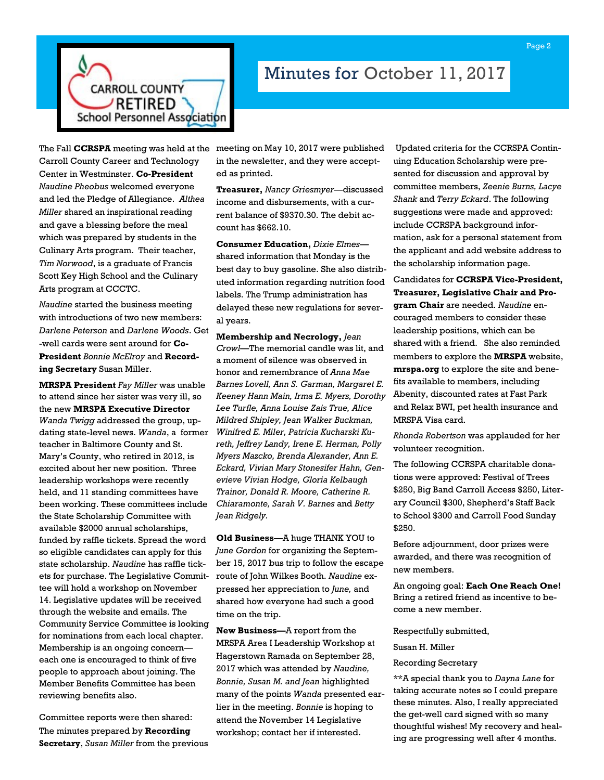

# Minutes for October 11, 2017

The Fall **CCRSPA** meeting was held at the meeting on May 10, 2017 were published Carroll County Career and Technology Center in Westminster. **Co-President**  *Naudine Pheobus* welcomed everyone and led the Pledge of Allegiance. *Althea Miller* shared an inspirational reading and gave a blessing before the meal which was prepared by students in the Culinary Arts program. Their teacher, *Tim Norwood*, is a graduate of Francis Scott Key High School and the Culinary Arts program at CCCTC.

*Naudine* started the business meeting with introductions of two new members: *Darlene Peterson* and *Darlene Woods*. Get -well cards were sent around for **Co-President** *Bonnie McElroy* and **Recording Secretary** Susan Miller.

**MRSPA President** *Fay Miller* was unable to attend since her sister was very ill, so the new **MRSPA Executive Director**  *Wanda Twigg* addressed the group, updating state-level news. *Wanda*, a former teacher in Baltimore County and St. Mary's County, who retired in 2012, is excited about her new position. Three leadership workshops were recently held, and 11 standing committees have been working. These committees include the State Scholarship Committee with available \$2000 annual scholarships, funded by raffle tickets. Spread the word so eligible candidates can apply for this state scholarship. *Naudine* has raffle tickets for purchase. The Legislative Committee will hold a workshop on November 14. Legislative updates will be received through the website and emails. The Community Service Committee is looking for nominations from each local chapter. Membership is an ongoing concern each one is encouraged to think of five people to approach about joining. The Member Benefits Committee has been reviewing benefits also.

Committee reports were then shared: The minutes prepared by **Recording Secretary**, *Susan Miller* from the previous in the newsletter, and they were accepted as printed.

**Treasurer,** *Nancy Griesmyer*—discussed income and disbursements, with a current balance of \$9370.30. The debit account has \$662.10.

**Consumer Education,** *Dixie Elmes* shared information that Monday is the best day to buy gasoline. She also distributed information regarding nutrition food labels. The Trump administration has delayed these new regulations for several years.

**Membership and Necrology,** *Jean Crowl*—The memorial candle was lit, and a moment of silence was observed in honor and remembrance of *Anna Mae Barnes Lovell, Ann S. Garman, Margaret E. Keeney Hann Main, Irma E. Myers, Dorothy Lee Turfle, Anna Louise Zais True, Alice Mildred Shipley, Jean Walker Buckman, Winifred E. Miler, Patricia Kucharski Kureth, Jeffrey Landy, Irene E. Herman, Polly Myers Mazcko, Brenda Alexander, Ann E. Eckard, Vivian Mary Stonesifer Hahn, Genevieve Vivian Hodge, Gloria Kelbaugh Trainor, Donald R. Moore, Catherine R. Chiaramonte, Sarah V. Barnes* and *Betty Jean Ridgely.*

**Old Business**—A huge THANK YOU to *June Gordon* for organizing the September 15, 2017 bus trip to follow the escape route of John Wilkes Booth. *Naudine* expressed her appreciation to *June,* and shared how everyone had such a good time on the trip.

**New Business—**A report from the MRSPA Area I Leadership Workshop at Hagerstown Ramada on September 28, 2017 which was attended by *Naudine, Bonnie, Susan M. and Jean* highlighted many of the points *Wanda* presented earlier in the meeting. *Bonnie* is hoping to attend the November 14 Legislative workshop; contact her if interested.

Updated criteria for the CCRSPA Continuing Education Scholarship were presented for discussion and approval by committee members, *Zeenie Burns, Lacye Shank* and *Terry Eckard*. The following suggestions were made and approved: include CCRSPA background information, ask for a personal statement from the applicant and add website address to the scholarship information page.

Candidates for **CCRSPA Vice-President, Treasurer, Legislative Chair and Program Chair** are needed. *Naudine* encouraged members to consider these leadership positions, which can be shared with a friend. She also reminded members to explore the **MRSPA** website, **mrspa.org** to explore the site and benefits available to members, including Abenity, discounted rates at Fast Park and Relax BWI, pet health insurance and MRSPA Visa card.

*Rhonda Robertson* was applauded for her volunteer recognition.

The following CCRSPA charitable donations were approved: Festival of Trees \$250, Big Band Carroll Access \$250, Literary Council \$300, Shepherd's Staff Back to School \$300 and Carroll Food Sunday \$250.

Before adjournment, door prizes were awarded, and there was recognition of new members.

An ongoing goal: **Each One Reach One!** Bring a retired friend as incentive to become a new member.

Respectfully submitted,

Susan H. Miller

Recording Secretary

\*\*A special thank you to *Dayna Lane* for taking accurate notes so I could prepare these minutes. Also, I really appreciated the get-well card signed with so many thoughtful wishes! My recovery and healing are progressing well after 4 months.